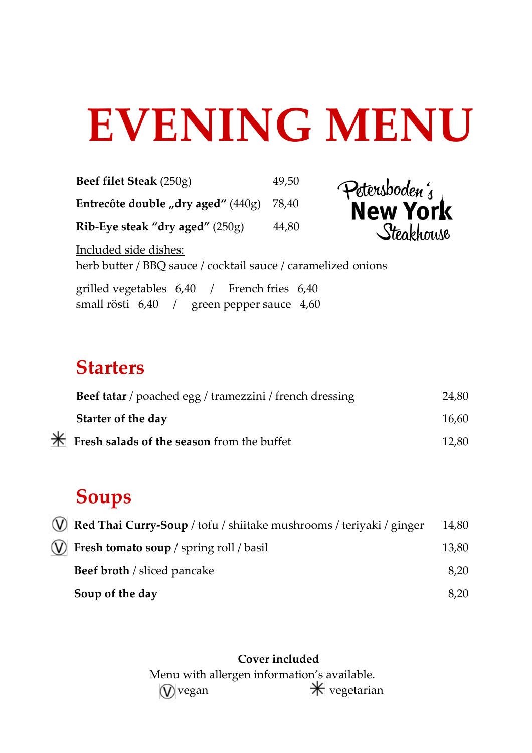# **EVENING MENU**

**Beef filet Steak** (250g) 49,50 Petersboden; **Entrecôte double "dry aged"** (440g) 78,40 **New York** Steakhouse **Rib-Eye steak "dry aged"** (250g) 44,80 Included side dishes: herb butter / BBQ sauce / cocktail sauce / caramelized onions grilled vegetables 6,40 / French fries 6,40 small rösti 6,40 / green pepper sauce 4,60

### **Starters**

| Beef tatar / poached egg / tramezzini / french dressing | 24,80 |
|---------------------------------------------------------|-------|
| Starter of the day                                      | 16,60 |
| <b>Fresh salads of the season from the buffet</b>       | 12,80 |

# **Soups**

 $\ast$ 

| W Red Thai Curry-Soup / tofu / shiitake mushrooms / teriyaki / ginger | 14,80 |
|-----------------------------------------------------------------------|-------|
| $(V)$ Fresh tomato soup / spring roll / basil                         | 13,80 |
| <b>Beef broth</b> / sliced pancake                                    | 8,20  |
| Soup of the day                                                       | 8,20  |

#### **Cover included**

Menu with allergen information's available.  $\mathcal{\hat{V}}$  vegan  $\mathcal{\hat{K}}$  vegetarian